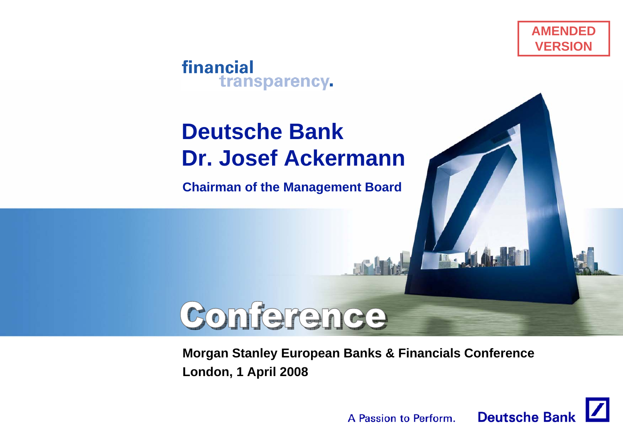

#### financial transparency.

# **Deutsche BankDr. Josef Ackermann**

**Chairman of the Management Board**

# Conference

**Morgan Stanley European Banks & Financials Conference London, 1 April 2008**



**In. J.A.**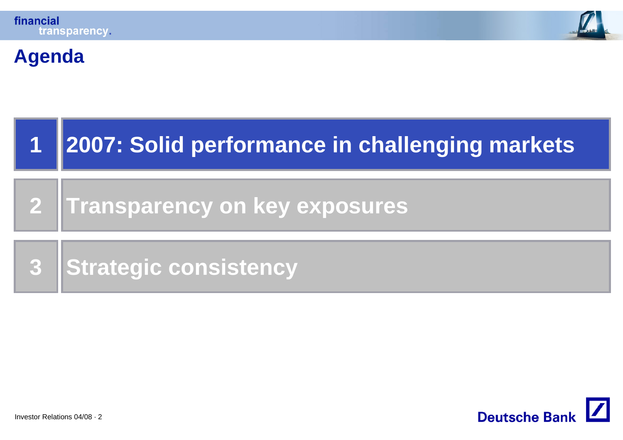



### **Agenda**

| 2007: Solid performance in challenging markets |
|------------------------------------------------|
| 2 Transparency on key exposures                |
| 3 Strategic consistency                        |

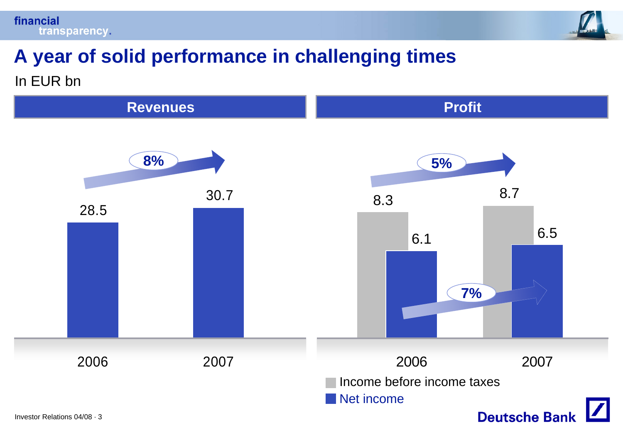



### **A year of solid performance in challenging times** In EUR bn

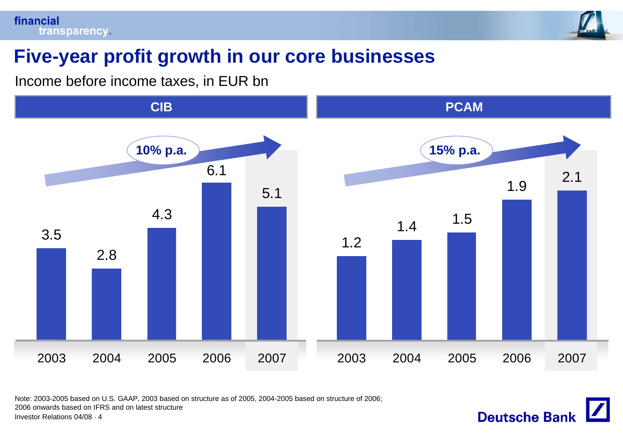

**Deutsche Bank** 

### **Five-year profit growth in our core businesses**

Income before income taxes, in EUR bn



Note: 2003-2005 based on U.S. GAAP, 2003 based on structure as of 2005, 2004-2005 based on structure of 2006; 2006 onwards based on IFRS and on latest structure

Investor Relations 04/08 · 4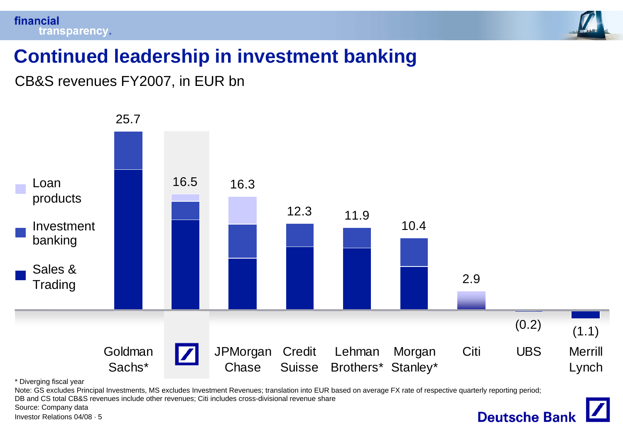

**Deutsche Bank** 

### **Continued leadership in investment banking**

CB&S revenues FY2007, in EUR bn



\* Diverging fiscal year

Note: GS excludes Principal Investments, MS excludes Investment Revenues; translation into EUR based on average FX rate of respective quarterly reporting period; DB and CS total CB&S revenues include other revenues; Citi includes cross-divisional revenue share

Source: Company data

Investor Relations 04/08 · 5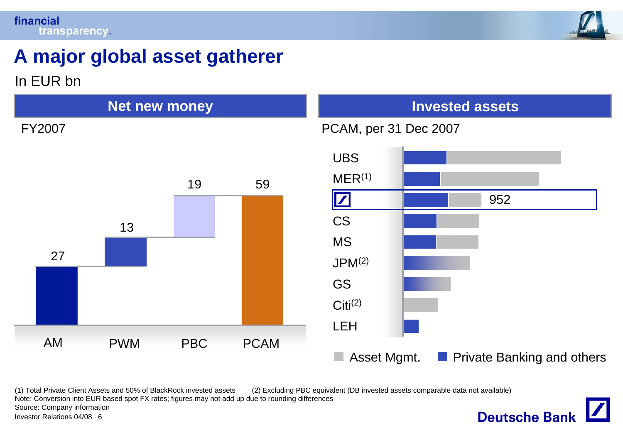



### **A major global asset gatherer**

In EUR bn



(1) Total Private Client Assets and 50% of BlackRock invested assets (2) Excluding PBC equivalent (DB invested assets comparable data not available) Note: Conversion into EUR based spot FX rates; figures may not add up due to rounding differences Source: Company information **Deutsche Bank** Investor Relations 04/08 · 6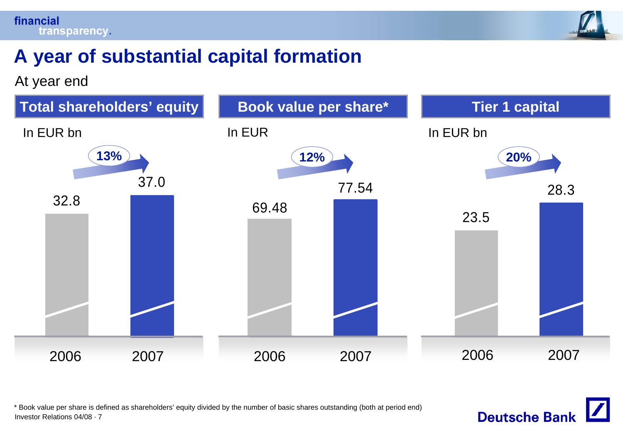

### **A year of substantial capital formation**

At year end



Investor Relations 04/08 · 7\* Book value per share is defined as shareholders' equity divided by the number of basic shares outstanding (both at period end)

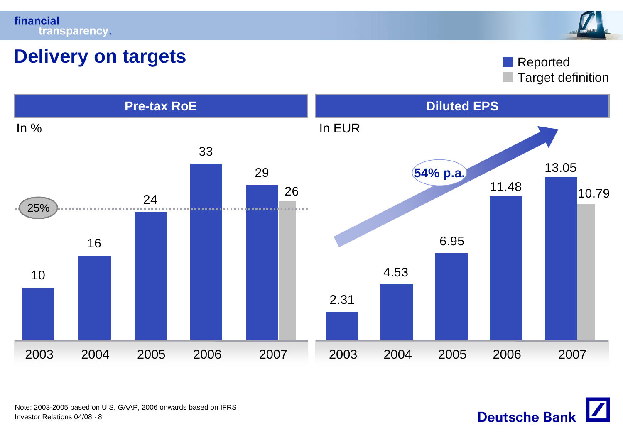



### **Delivery on targets**

Target definition Reported

**Deutsche Bank** 



Investor Relations 04/08 · 8Note: 2003-2005 based on U.S. GAAP, 2006 onwards based on IFRS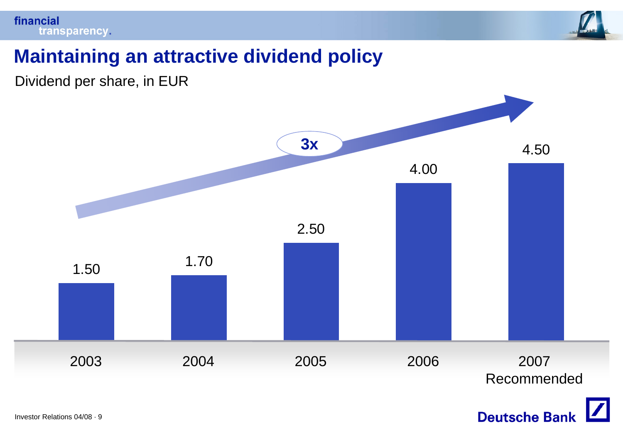

### **Maintaining an attractive dividend policy**

Dividend per share, in EUR



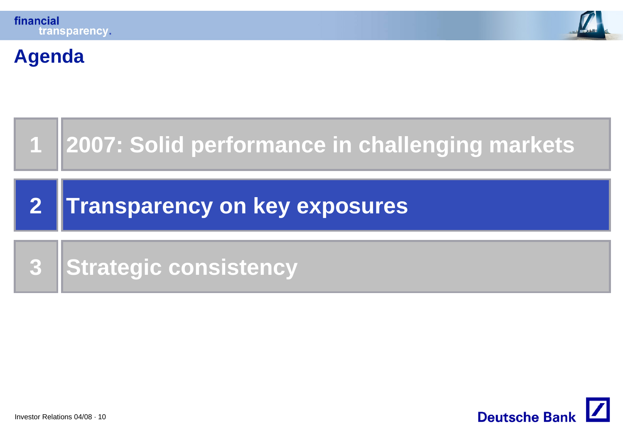**Agenda**





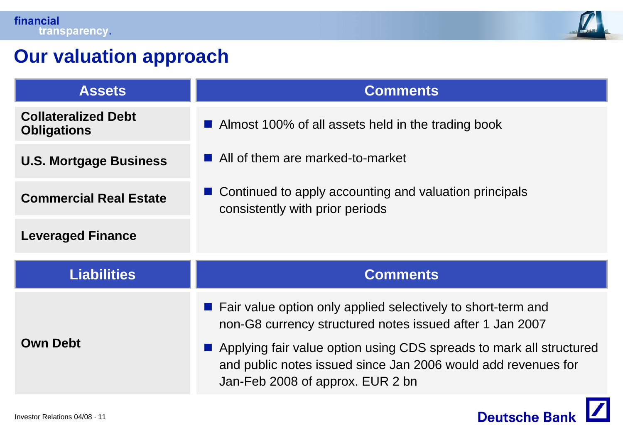

### **Our valuation approach**

| <b>Assets</b>                                    | <b>Comments</b>                                                                                                                                                          |  |  |
|--------------------------------------------------|--------------------------------------------------------------------------------------------------------------------------------------------------------------------------|--|--|
| <b>Collateralized Debt</b><br><b>Obligations</b> | ■ Almost 100% of all assets held in the trading book                                                                                                                     |  |  |
| <b>U.S. Mortgage Business</b>                    | All of them are marked-to-market                                                                                                                                         |  |  |
| <b>Commercial Real Estate</b>                    | ■ Continued to apply accounting and valuation principals<br>consistently with prior periods                                                                              |  |  |
| <b>Leveraged Finance</b>                         |                                                                                                                                                                          |  |  |
| <b>Liabilities</b>                               | <b>Comments</b>                                                                                                                                                          |  |  |
|                                                  | ■ Fair value option only applied selectively to short-term and<br>non-G8 currency structured notes issued after 1 Jan 2007                                               |  |  |
| <b>Own Debt</b>                                  | Applying fair value option using CDS spreads to mark all structured<br>and public notes issued since Jan 2006 would add revenues for<br>Jan-Feb 2008 of approx. EUR 2 bn |  |  |

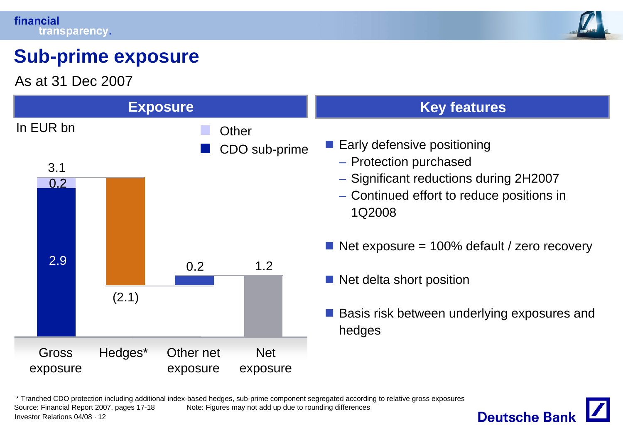

### **Sub-prime exposure**

As at 31 Dec 2007



Investor Relations 04/08 · 12\* Tranched CDO protection including additional index-based hedges, sub-prime component segregated according to relative gross exposures Source: Financial Report 2007, pages 17-18 Note: Figures may not add up due to rounding differences

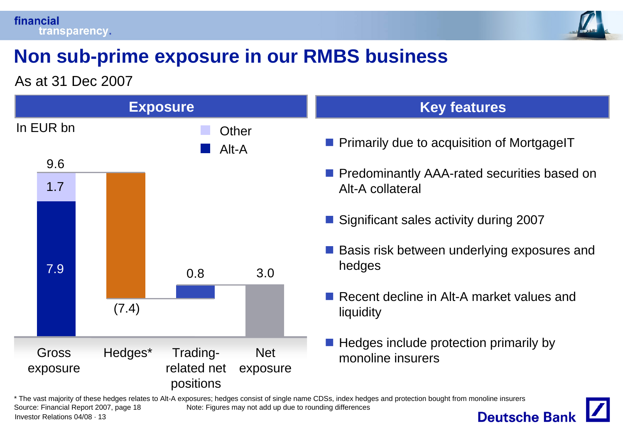

### **Non sub-prime exposure in our RMBS business**

As at 31 Dec 2007



\* The vast majority of these hedges relates to Alt-A exposures; hedges consist of single name CDSs, index hedges and protection bought from monoline insurers Source: Financial Report 2007, page 18 Note: Figures may not add up due to rounding differences **Deutsche Bank** Investor Relations 04/08 · 13

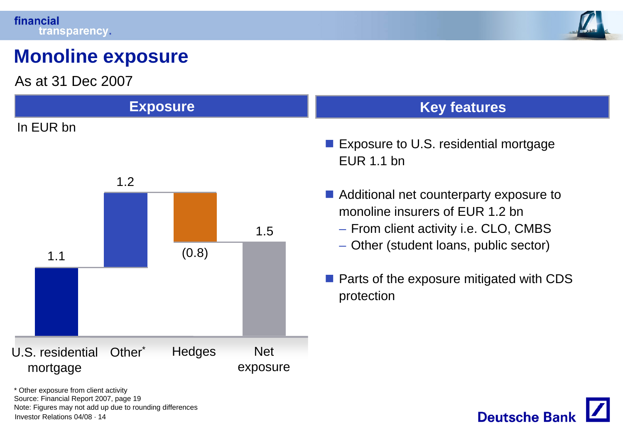

**Deutsche Bank** 

### **Monoline exposure**

As at 31 Dec 2007



Investor Relations 04/08 · 14\* Other exposure from client activity Source: Financial Report 2007, page 19 Note: Figures may not add up due to rounding differences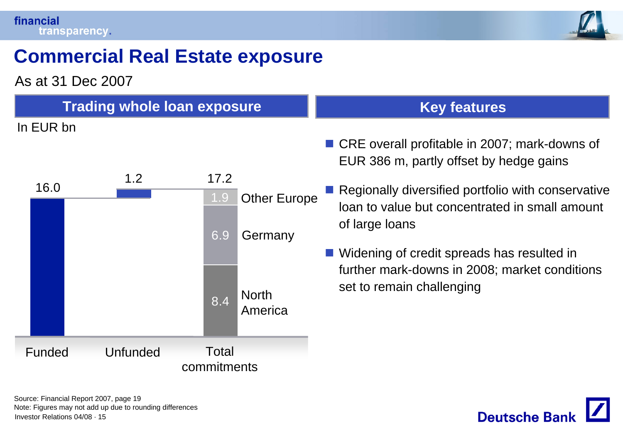

### **Commercial Real Estate exposure**

As at 31 Dec 2007

| <b>Trading whole loan exposure</b> |                                    | <b>Key features</b>                                                                                                    |
|------------------------------------|------------------------------------|------------------------------------------------------------------------------------------------------------------------|
| In EUR bn                          |                                    |                                                                                                                        |
|                                    |                                    | ■ CRE overall profitable in 2007; mark-downs of                                                                        |
|                                    |                                    | EUR 386 m, partly offset by hedge gains                                                                                |
| 1.2<br>16.0                        | 17.2<br><b>Other Europe</b><br>1.9 | Regionally diversified portfolio with conservative<br>loan to value but concentrated in small amount<br>of large loans |
|                                    | 6.9<br>Germany                     |                                                                                                                        |
|                                    |                                    | ■ Widening of credit spreads has resulted in<br>further mark-downs in 2008; market conditions                          |
|                                    | <b>North</b><br>8.4<br>America     | set to remain challenging                                                                                              |
| <b>Funded</b><br><b>Unfunded</b>   | Total                              |                                                                                                                        |
|                                    | commitments                        |                                                                                                                        |

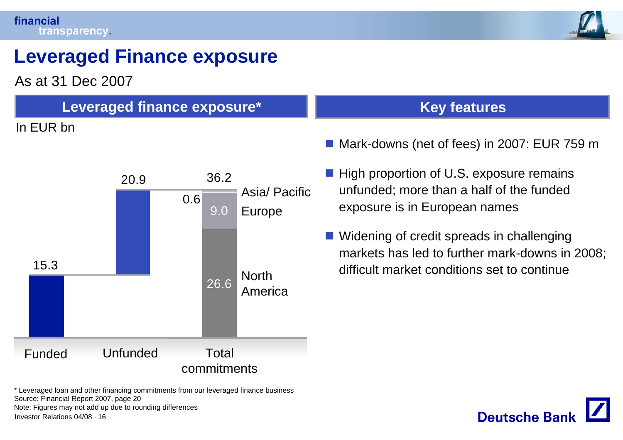

### **Leveraged Finance exposure**

As at 31 Dec 2007

### **Leveraged finance exposure\***

#### In EUR bn



#### **Key features**

- Mark-downs (net of fees) in 2007: EUR 759 m
- **High proportion of U.S. exposure remains** unfunded; more than a half of the funded exposure is in European names
- Widening of credit spreads in challenging markets has led to further mark-downs in 2008; difficult market conditions set to continue



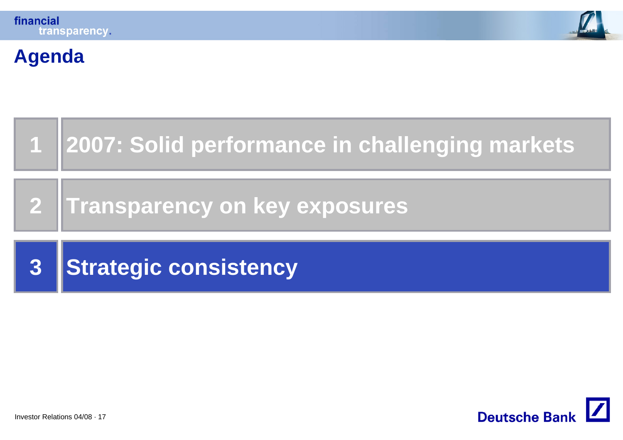

### **Agenda**



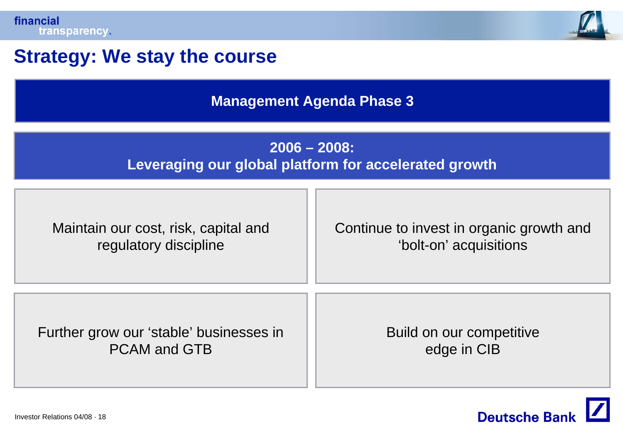

### **Strategy: We stay the course**

**Management Agenda Phase 3**

#### **2006 – 2008: Leveraging our global platform for accelerated growth**

| Maintain our cost, risk, capital and    | Continue to invest in organic growth and |  |  |
|-----------------------------------------|------------------------------------------|--|--|
| regulatory discipline                   | 'bolt-on' acquisitions                   |  |  |
| Further grow our 'stable' businesses in | Build on our competitive                 |  |  |
| <b>PCAM and GTB</b>                     | edge in CIB                              |  |  |

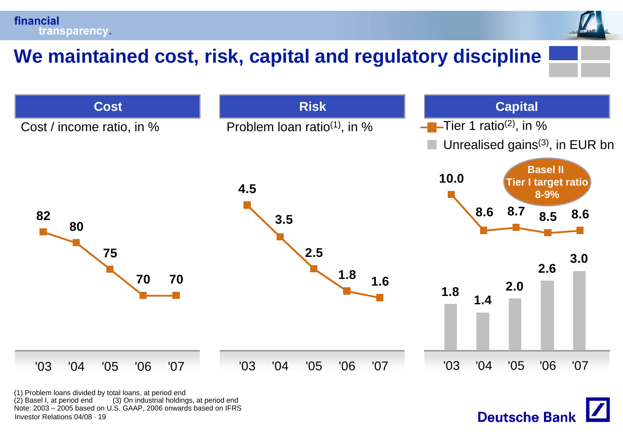financial transparency.

### **We maintained cost, risk, capital and regulatory discipline**



**Deutsche Bank** 

Investor Relations 04/08 · 19(1) Problem loans divided by total loans, at period end (3) On industrial holdings, at period end Note: 2003 – 2005 based on U.S. GAAP, 2006 onwards based on IFRS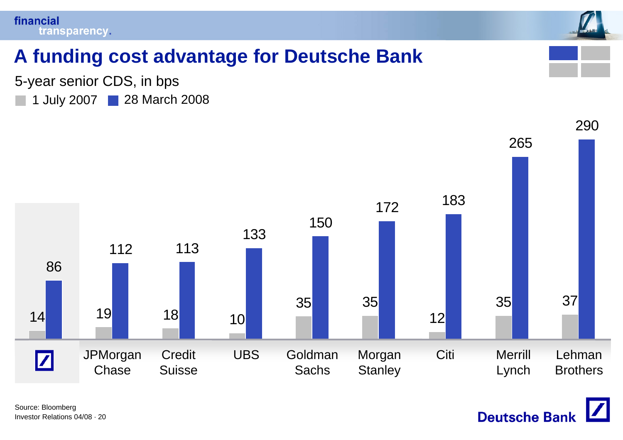



### **A funding cost advantage for Deutsche Bank**

5-year senior CDS, in bps

1 July 2007 28 March 2008



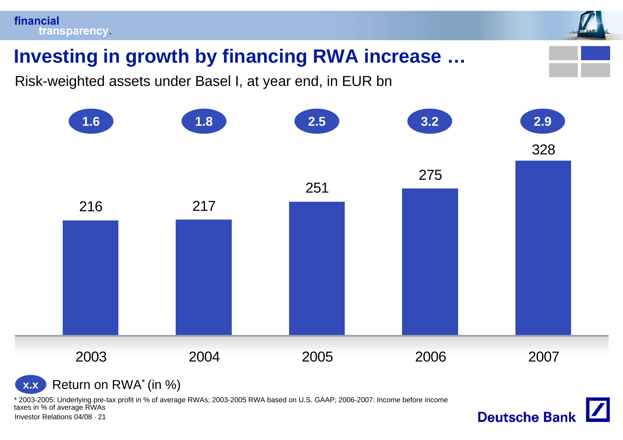

Risk-weighted assets under Basel I, at year end, in EUR bn



**Deutsche Bank** 

Return on RWA\* (in %) **x.x**

\* 2003-2005: Underlying pre-tax profit in % of average RWAs; 2003-2005 RWA based on U.S. GAAP; 2006-2007: Income before income taxes in % of average RWAs

Investor Relations 04/08 · 21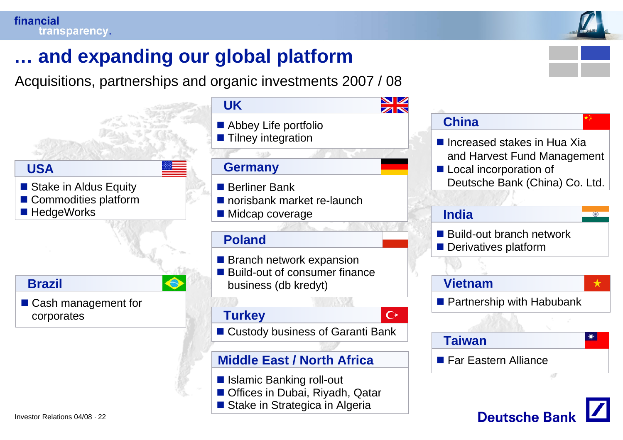

**Deutsche Bank** 

### **… and expanding our global platform**

Acquisitions, partnerships and organic investments 2007 / 08



**Stake in Strategica in Algeria**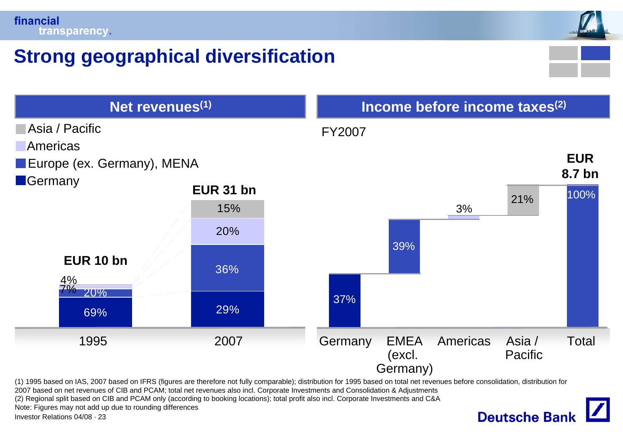

### **Strong geographical diversification**



2007 based on net revenues of CIB and PCAM; total net revenues also incl. Corporate Investments and Consolidation & Adjustments

(2) Regional split based on CIB and PCAM only (according to booking locations); total profit also incl. Corporate Investments and C&A

Note: Figures may not add up due to rounding differences

Investor Relations 04/08 · 23

## **Deutsche Bank**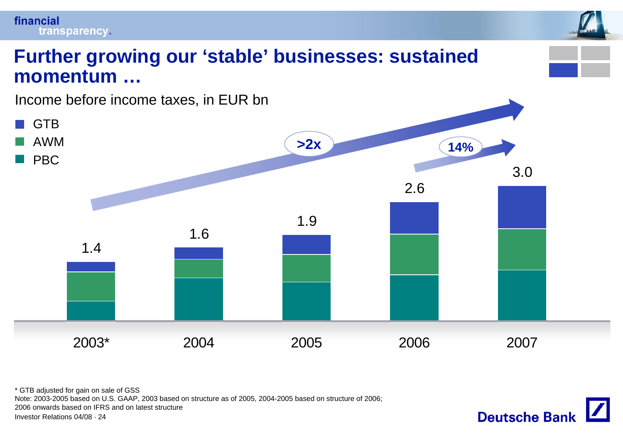### financial transparency. **Further growing our 'stable' businesses: sustained momentum …**Income before income taxes, in EUR bn

![](_page_23_Figure_1.jpeg)

Investor Relations 04/08 · 24\* GTB adjusted for gain on sale of GSS Note: 2003-2005 based on U.S. GAAP, 2003 based on structure as of 2005, 2004-2005 based on structure of 2006; 2006 onwards based on IFRS and on latest structure

![](_page_23_Picture_3.jpeg)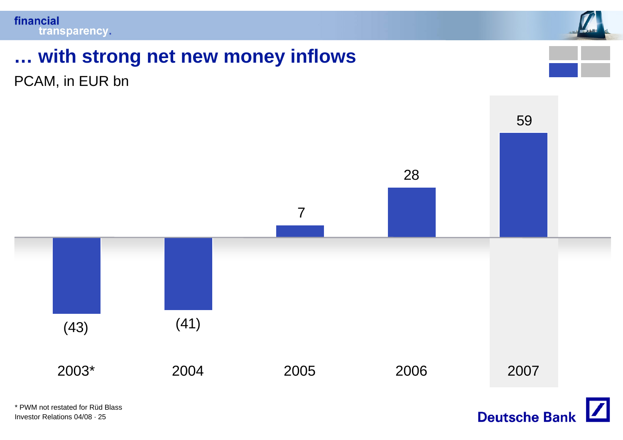![](_page_24_Picture_1.jpeg)

# **… with strong net new money inflows**

PCAM, in EUR bn

![](_page_24_Figure_4.jpeg)

Investor Relations 04/08 · 25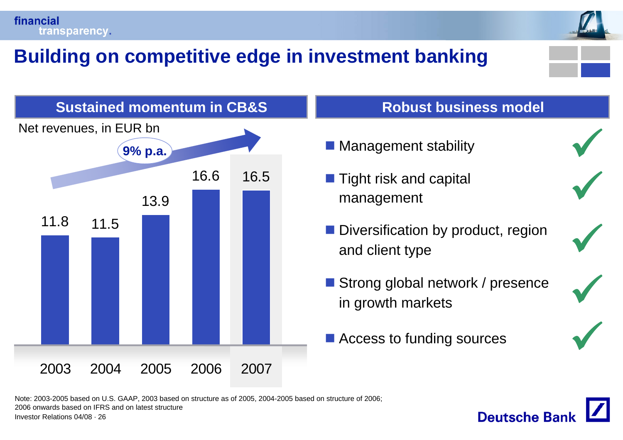![](_page_25_Picture_0.jpeg)

### **Building on competitive edge in investment banking**

![](_page_25_Picture_2.jpeg)

![](_page_25_Figure_3.jpeg)

#### **Robust business model**

- Management stability
- $\blacksquare$  Tight risk and capital management
- **Diversification by product, region** and client type
- Strong global network / presence in growth markets
- Access to funding sources

![](_page_25_Picture_10.jpeg)

**Deutsche Ban** 

9

 $\sqrt{}$ 

 $\sqrt{}$ 

 $\sqrt{}$ 

Investor Relations 04/08 · 26Note: 2003-2005 based on U.S. GAAP, 2003 based on structure as of 2005, 2004-2005 based on structure of 2006; 2006 onwards based on IFRS and on latest structure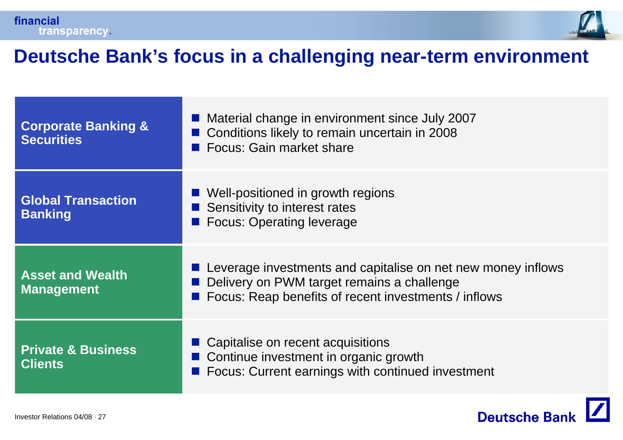![](_page_26_Picture_0.jpeg)

![](_page_26_Picture_1.jpeg)

### **Deutsche Bank's focus in a challenging near-term environment**

| <b>Corporate Banking &amp;</b><br><b>Securities</b> | Material change in environment since July 2007<br>Conditions likely to remain uncertain in 2008<br>■ Focus: Gain market share                                      |  |  |  |
|-----------------------------------------------------|--------------------------------------------------------------------------------------------------------------------------------------------------------------------|--|--|--|
| <b>Global Transaction</b><br><b>Banking</b>         | ■ Well-positioned in growth regions<br>Sensitivity to interest rates<br><b>Focus: Operating leverage</b>                                                           |  |  |  |
| <b>Asset and Wealth</b><br><b>Management</b>        | Leverage investments and capitalise on net new money inflows<br>Delivery on PWM target remains a challenge<br>Focus: Reap benefits of recent investments / inflows |  |  |  |
| <b>Private &amp; Business</b><br><b>Clients</b>     | • Capitalise on recent acquisitions<br>■ Continue investment in organic growth<br>Focus: Current earnings with continued investment                                |  |  |  |

![](_page_26_Picture_4.jpeg)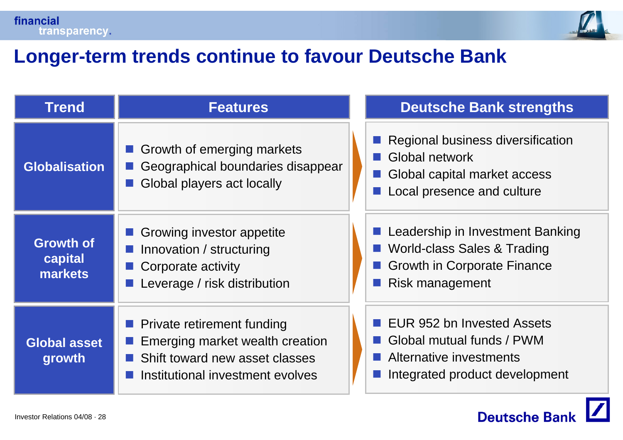![](_page_27_Picture_0.jpeg)

![](_page_27_Picture_1.jpeg)

### **Longer-term trends continue to favour Deutsche Bank**

| <b>Trend</b>                           | <b>Features</b>                                                                                                                     | <b>Deutsche Bank strengths</b>                                                                                           |
|----------------------------------------|-------------------------------------------------------------------------------------------------------------------------------------|--------------------------------------------------------------------------------------------------------------------------|
| <b>Globalisation</b>                   | Growth of emerging markets<br>Geographical boundaries disappear<br>Global players act locally                                       | Regional business diversification<br>Global network<br>Global capital market access<br>Local presence and culture        |
| <b>Growth of</b><br>capital<br>markets | Growing investor appetite<br>Innovation / structuring<br>Corporate activity<br>Leverage / risk distribution                         | Leadership in Investment Banking<br>World-class Sales & Trading<br><b>Growth in Corporate Finance</b><br>Risk management |
| <b>Global asset</b><br>growth          | Private retirement funding<br>Emerging market wealth creation<br>Shift toward new asset classes<br>Institutional investment evolves | EUR 952 bn Invested Assets<br>■ Global mutual funds / PWM<br>Alternative investments<br>Integrated product development   |

![](_page_27_Picture_4.jpeg)